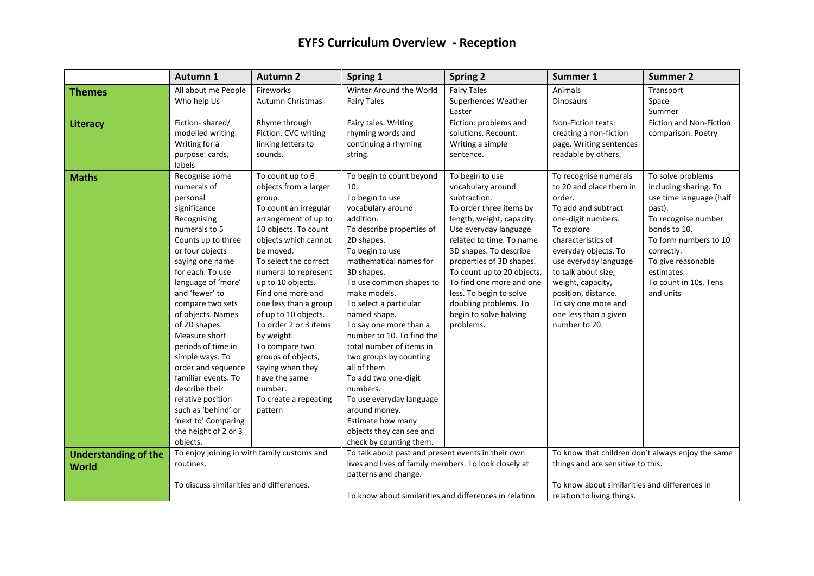## **EYFS Curriculum Overview - Reception**

|                                             | Autumn 1                                                                                                                                                                                                                                                                                                                                                                                                                                                                                                    | <b>Autumn 2</b>                                                                                                                                                                                                                                                                                                                                                                                                                                                                  | Spring 1                                                                                                                                                                                                                                                                                                                                                                                                                                                                                                                                                                  | <b>Spring 2</b>                                                                                                                                                                                                                                                                                                                                                              | Summer 1                                                                                                                                                                                                                                                                                                                         | <b>Summer 2</b>                                                                                                                                                                                                                         |
|---------------------------------------------|-------------------------------------------------------------------------------------------------------------------------------------------------------------------------------------------------------------------------------------------------------------------------------------------------------------------------------------------------------------------------------------------------------------------------------------------------------------------------------------------------------------|----------------------------------------------------------------------------------------------------------------------------------------------------------------------------------------------------------------------------------------------------------------------------------------------------------------------------------------------------------------------------------------------------------------------------------------------------------------------------------|---------------------------------------------------------------------------------------------------------------------------------------------------------------------------------------------------------------------------------------------------------------------------------------------------------------------------------------------------------------------------------------------------------------------------------------------------------------------------------------------------------------------------------------------------------------------------|------------------------------------------------------------------------------------------------------------------------------------------------------------------------------------------------------------------------------------------------------------------------------------------------------------------------------------------------------------------------------|----------------------------------------------------------------------------------------------------------------------------------------------------------------------------------------------------------------------------------------------------------------------------------------------------------------------------------|-----------------------------------------------------------------------------------------------------------------------------------------------------------------------------------------------------------------------------------------|
| <b>Themes</b>                               | All about me People<br>Who help Us                                                                                                                                                                                                                                                                                                                                                                                                                                                                          | Fireworks<br>Autumn Christmas                                                                                                                                                                                                                                                                                                                                                                                                                                                    | Winter Around the World<br><b>Fairy Tales</b>                                                                                                                                                                                                                                                                                                                                                                                                                                                                                                                             | <b>Fairy Tales</b><br>Superheroes Weather<br>Easter                                                                                                                                                                                                                                                                                                                          | Animals<br><b>Dinosaurs</b>                                                                                                                                                                                                                                                                                                      | Transport<br>Space<br>Summer                                                                                                                                                                                                            |
| Literacy                                    | Fiction-shared/<br>modelled writing.<br>Writing for a<br>purpose: cards,<br>labels                                                                                                                                                                                                                                                                                                                                                                                                                          | Rhyme through<br>Fiction. CVC writing<br>linking letters to<br>sounds.                                                                                                                                                                                                                                                                                                                                                                                                           | Fairy tales. Writing<br>rhyming words and<br>continuing a rhyming<br>string.                                                                                                                                                                                                                                                                                                                                                                                                                                                                                              | Fiction: problems and<br>solutions. Recount.<br>Writing a simple<br>sentence.                                                                                                                                                                                                                                                                                                | Non-Fiction texts:<br>creating a non-fiction<br>page. Writing sentences<br>readable by others.                                                                                                                                                                                                                                   | Fiction and Non-Fiction<br>comparison. Poetry                                                                                                                                                                                           |
| <b>Maths</b>                                | Recognise some<br>numerals of<br>personal<br>significance<br>Recognising<br>numerals to 5<br>Counts up to three<br>or four objects<br>saying one name<br>for each. To use<br>language of 'more'<br>and 'fewer' to<br>compare two sets<br>of objects. Names<br>of 2D shapes.<br>Measure short<br>periods of time in<br>simple ways. To<br>order and sequence<br>familiar events. To<br>describe their<br>relative position<br>such as 'behind' or<br>'next to' Comparing<br>the height of 2 or 3<br>objects. | To count up to 6<br>objects from a larger<br>group.<br>To count an irregular<br>arrangement of up to<br>10 objects. To count<br>objects which cannot<br>be moved.<br>To select the correct<br>numeral to represent<br>up to 10 objects.<br>Find one more and<br>one less than a group<br>of up to 10 objects.<br>To order 2 or 3 items<br>by weight.<br>To compare two<br>groups of objects,<br>saying when they<br>have the same<br>number.<br>To create a repeating<br>pattern | To begin to count beyond<br>10.<br>To begin to use<br>vocabulary around<br>addition.<br>To describe properties of<br>2D shapes.<br>To begin to use<br>mathematical names for<br>3D shapes.<br>To use common shapes to<br>make models.<br>To select a particular<br>named shape.<br>To say one more than a<br>number to 10. To find the<br>total number of items in<br>two groups by counting<br>all of them.<br>To add two one-digit<br>numbers.<br>To use everyday language<br>around money.<br>Estimate how many<br>objects they can see and<br>check by counting them. | To begin to use<br>vocabulary around<br>subtraction.<br>To order three items by<br>length, weight, capacity.<br>Use everyday language<br>related to time. To name<br>3D shapes. To describe<br>properties of 3D shapes.<br>To count up to 20 objects.<br>To find one more and one<br>less. To begin to solve<br>doubling problems. To<br>begin to solve halving<br>problems. | To recognise numerals<br>to 20 and place them in<br>order.<br>To add and subtract<br>one-digit numbers.<br>To explore<br>characteristics of<br>everyday objects. To<br>use everyday language<br>to talk about size,<br>weight, capacity,<br>position, distance.<br>To say one more and<br>one less than a given<br>number to 20. | To solve problems<br>including sharing. To<br>use time language (half<br>past).<br>To recognise number<br>bonds to 10.<br>To form numbers to 10<br>correctly.<br>To give reasonable<br>estimates.<br>To count in 10s. Tens<br>and units |
| <b>Understanding of the</b><br><b>World</b> | To enjoy joining in with family customs and<br>routines.                                                                                                                                                                                                                                                                                                                                                                                                                                                    |                                                                                                                                                                                                                                                                                                                                                                                                                                                                                  | To talk about past and present events in their own<br>lives and lives of family members. To look closely at<br>patterns and change.                                                                                                                                                                                                                                                                                                                                                                                                                                       |                                                                                                                                                                                                                                                                                                                                                                              | To know that children don't always enjoy the same<br>things and are sensitive to this.                                                                                                                                                                                                                                           |                                                                                                                                                                                                                                         |
|                                             | To discuss similarities and differences.                                                                                                                                                                                                                                                                                                                                                                                                                                                                    |                                                                                                                                                                                                                                                                                                                                                                                                                                                                                  | To know about similarities and differences in relation                                                                                                                                                                                                                                                                                                                                                                                                                                                                                                                    |                                                                                                                                                                                                                                                                                                                                                                              | To know about similarities and differences in<br>relation to living things.                                                                                                                                                                                                                                                      |                                                                                                                                                                                                                                         |